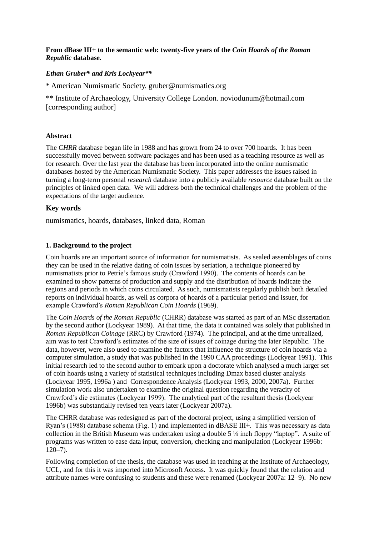### **From dBase III+ to the semantic web: twenty-five years of the** *Coin Hoards of the Roman Republic* **database.**

## *Ethan Gruber\* and Kris Lockyear\*\**

\* American Numismatic Society. gruber@numismatics.org

\*\* Institute of Archaeology, University College London. noviodunum@hotmail.com [corresponding author]

## **Abstract**

The *CHRR* database began life in 1988 and has grown from 24 to over 700 hoards*.* It has been successfully moved between software packages and has been used as a teaching resource as well as for research. Over the last year the database has been incorporated into the online numismatic databases hosted by the American Numismatic Society. This paper addresses the issues raised in turning a long-term personal *research* database into a publicly available *resource* database built on the principles of linked open data. We will address both the technical challenges and the problem of the expectations of the target audience.

## **Key words**

numismatics, hoards, databases, linked data, Roman

## **1. Background to the project**

Coin hoards are an important source of information for numismatists. As sealed assemblages of coins they can be used in the relative dating of coin issues by seriation, a technique pioneered by numismatists prior to Petrie's famous study (Crawford 1990). The contents of hoards can be examined to show patterns of production and supply and the distribution of hoards indicate the regions and periods in which coins circulated. As such, numismatists regularly publish both detailed reports on individual hoards, as well as corpora of hoards of a particular period and issuer, for example Crawford's *Roman Republican Coin Hoards* (1969).

The *Coin Hoards of the Roman Republic* (CHRR) database was started as part of an MSc dissertation by the second author (Lockyear 1989). At that time, the data it contained was solely that published in *Roman Republican Coinage* (RRC) by Crawford (1974). The principal, and at the time unrealized, aim was to test Crawford's estimates of the size of issues of coinage during the later Republic. The data, however, were also used to examine the factors that influence the structure of coin hoards via a computer simulation, a study that was published in the 1990 CAA proceedings (Lockyear 1991). This initial research led to the second author to embark upon a doctorate which analysed a much larger set of coin hoards using a variety of statistical techniques including Dmax based cluster analysis (Lockyear 1995, 1996a ) and Correspondence Analysis (Lockyear 1993, 2000, 2007a). Further simulation work also undertaken to examine the original question regarding the veracity of Crawford's die estimates (Lockyear 1999). The analytical part of the resultant thesis (Lockyear 1996b) was substantially revised ten years later (Lockyear 2007a).

The CHRR database was redesigned as part of the doctoral project, using a simplified version of Ryan's (1988) database schema (Fig. 1) and implemented in dBASE III+. This was necessary as data collection in the British Museum was undertaken using a double 5 ¼ inch floppy "laptop". A suite of programs was written to ease data input, conversion, checking and manipulation (Lockyear 1996b:  $120 - 7$ ).

Following completion of the thesis, the database was used in teaching at the Institute of Archaeology, UCL, and for this it was imported into Microsoft Access. It was quickly found that the relation and attribute names were confusing to students and these were renamed (Lockyear 2007a: 12–9). No new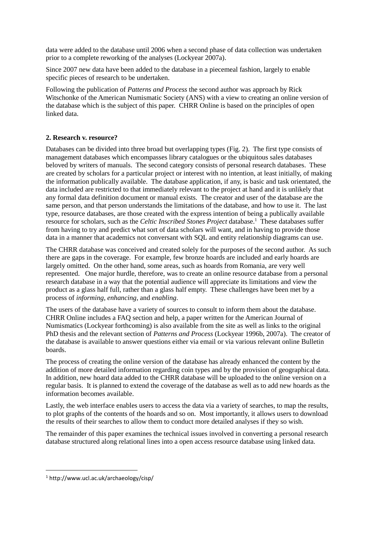data were added to the database until 2006 when a second phase of data collection was undertaken prior to a complete reworking of the analyses (Lockyear 2007a).

Since 2007 new data have been added to the database in a piecemeal fashion, largely to enable specific pieces of research to be undertaken.

Following the publication of *Patterns and Process* the second author was approach by Rick Witschonke of the American Numismatic Society (ANS) with a view to creating an online version of the database which is the subject of this paper. CHRR Online is based on the principles of open linked data.

## **2. Research v. resource?**

Databases can be divided into three broad but overlapping types (Fig. 2). The first type consists of management databases which encompasses library catalogues or the ubiquitous sales databases beloved by writers of manuals. The second category consists of personal research databases. These are created by scholars for a particular project or interest with no intention, at least initially, of making the information publically available. The database application, if any, is basic and task orientated, the data included are restricted to that immediately relevant to the project at hand and it is unlikely that any formal data definition document or manual exists. The creator and user of the database are the same person, and that person understands the limitations of the database, and how to use it. The last type, resource databases, are those created with the express intention of being a publically available resource for scholars, such as the *Celtic Inscribed Stones Project* database.<sup>1</sup> These databases suffer from having to try and predict what sort of data scholars will want, and in having to provide those data in a manner that academics not conversant with SQL and entity relationship diagrams can use.

The CHRR database was conceived and created solely for the purposes of the second author. As such there are gaps in the coverage. For example, few bronze hoards are included and early hoards are largely omitted. On the other hand, some areas, such as hoards from Romania, are very well represented. One major hurdle, therefore, was to create an online resource database from a personal research database in a way that the potential audience will appreciate its limitations and view the product as a glass half full, rather than a glass half empty. These challenges have been met by a process of *informing*, *enhancing*, and *enabling*.

The users of the database have a variety of sources to consult to inform them about the database. CHRR Online includes a FAQ section and help, a paper written for the American Journal of Numismatics (Lockyear forthcoming) is also available from the site as well as links to the original PhD thesis and the relevant section of *Patterns and Process* (Lockyear 1996b, 2007a). The creator of the database is available to answer questions either via email or via various relevant online Bulletin boards.

The process of creating the online version of the database has already enhanced the content by the addition of more detailed information regarding coin types and by the provision of geographical data. In addition, new hoard data added to the CHRR database will be uploaded to the online version on a regular basis. It is planned to extend the coverage of the database as well as to add new hoards as the information becomes available.

Lastly, the web interface enables users to access the data via a variety of searches, to map the results, to plot graphs of the contents of the hoards and so on. Most importantly, it allows users to download the results of their searches to allow them to conduct more detailed analyses if they so wish.

The remainder of this paper examines the technical issues involved in converting a personal research database structured along relational lines into a open access resource database using linked data.

1

<sup>1</sup> http://www.ucl.ac.uk/archaeology/cisp/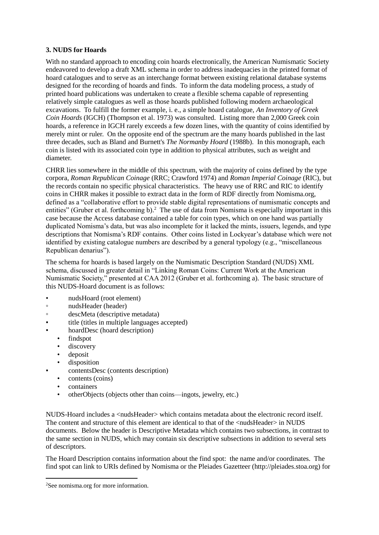## **3. NUDS for Hoards**

With no standard approach to encoding coin hoards electronically, the American Numismatic Society endeavored to develop a draft XML schema in order to address inadequacies in the printed format of hoard catalogues and to serve as an interchange format between existing relational database systems designed for the recording of hoards and finds. To inform the data modeling process, a study of printed hoard publications was undertaken to create a flexible schema capable of representing relatively simple catalogues as well as those hoards published following modern archaeological excavations. To fulfill the former example, i. e., a simple hoard catalogue, *An Inventory of Greek Coin Hoards* (IGCH) (Thompson et al. 1973) was consulted. Listing more than 2,000 Greek coin hoards, a reference in IGCH rarely exceeds a few dozen lines, with the quantity of coins identified by merely mint or ruler. On the opposite end of the spectrum are the many hoards published in the last three decades, such as Bland and Burnett's *The Normanby Hoard* (1988b). In this monograph, each coin is listed with its associated coin type in addition to physical attributes, such as weight and diameter.

CHRR lies somewhere in the middle of this spectrum, with the majority of coins defined by the type corpora, *Roman Republican Coinage* (RRC; Crawford 1974) and *Roman Imperial Coinage* (RIC), but the records contain no specific physical characteristics. The heavy use of RRC and RIC to identify coins in CHRR makes it possible to extract data in the form of RDF directly from Nomisma.org, defined as a "collaborative effort to provide stable digital representations of numismatic concepts and entities" (Gruber et al. forthcoming b).<sup>2</sup> The use of data from Nomisma is especially important in this case because the Access database contained a table for coin types, which on one hand was partially duplicated Nomisma's data, but was also incomplete for it lacked the mints, issuers, legends, and type descriptions that Nomisma's RDF contains. Other coins listed in Lockyear's database which were not identified by existing catalogue numbers are described by a general typology (e.g., "miscellaneous Republican denarius").

The schema for hoards is based largely on the Numismatic Description Standard (NUDS) XML schema, discussed in greater detail in "Linking Roman Coins: Current Work at the American Numismatic Society," presented at CAA 2012 (Gruber et al. forthcoming a). The basic structure of this NUDS-Hoard document is as follows:

- nudsHoard (root element)
- nudsHeader (header)
- descMeta (descriptive metadata)
- title (titles in multiple languages accepted)
- hoardDesc (hoard description)
	- findspot
	- discovery
	- deposit
	- disposition
- contentsDesc (contents description)
	- contents (coins)
	- containers

1

• otherObjects (objects other than coins—ingots, jewelry, etc.)

NUDS-Hoard includes a  $\lt$ nudsHeader $\gt$  which contains metadata about the electronic record itself. The content and structure of this element are identical to that of the  $\langle$ nudsHeader $>$  in NUDS documents. Below the header is Descriptive Metadata which contains two subsections, in contrast to the same section in NUDS, which may contain six descriptive subsections in addition to several sets of descriptors.

The Hoard Description contains information about the find spot: the name and/or coordinates. The find spot can link to URIs defined by Nomisma or the Pleiades Gazetteer (http://pleiades.stoa.org) for

<sup>2</sup>See nomisma.org for more information.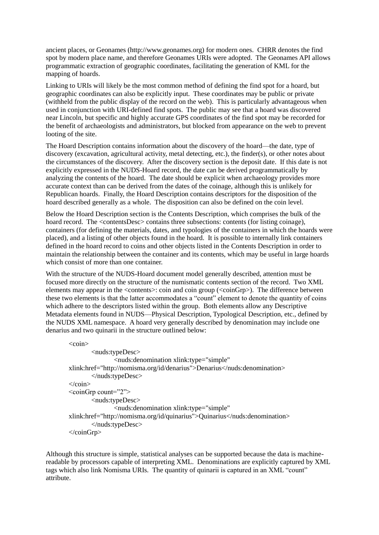ancient places, or Geonames (http://www.geonames.org) for modern ones. CHRR denotes the find spot by modern place name, and therefore Geonames URIs were adopted. The Geonames API allows programmatic extraction of geographic coordinates, facilitating the generation of KML for the mapping of hoards.

Linking to URIs will likely be the most common method of defining the find spot for a hoard, but geographic coordinates can also be explicitly input. These coordinates may be public or private (withheld from the public display of the record on the web). This is particularly advantageous when used in conjunction with URI-defined find spots. The public may see that a hoard was discovered near Lincoln, but specific and highly accurate GPS coordinates of the find spot may be recorded for the benefit of archaeologists and administrators, but blocked from appearance on the web to prevent looting of the site.

The Hoard Description contains information about the discovery of the hoard—the date, type of discovery (excavation, agricultural activity, metal detecting, etc.), the finder(s), or other notes about the circumstances of the discovery. After the discovery section is the deposit date. If this date is not explicitly expressed in the NUDS-Hoard record, the date can be derived programmatically by analyzing the contents of the hoard. The date should be explicit when archaeology provides more accurate context than can be derived from the dates of the coinage, although this is unlikely for Republican hoards. Finally, the Hoard Description contains descriptors for the disposition of the hoard described generally as a whole. The disposition can also be defined on the coin level.

Below the Hoard Description section is the Contents Description, which comprises the bulk of the hoard record. The <contentsDesc> contains three subsections: contents (for listing coinage), containers (for defining the materials, dates, and typologies of the containers in which the hoards were placed), and a listing of other objects found in the hoard. It is possible to internally link containers defined in the hoard record to coins and other objects listed in the Contents Description in order to maintain the relationship between the container and its contents, which may be useful in large hoards which consist of more than one container.

With the structure of the NUDS-Hoard document model generally described, attention must be focused more directly on the structure of the numismatic contents section of the record. Two XML elements may appear in the <contents>: coin and coin group (<coinGrp>). The difference between these two elements is that the latter accommodates a "count" element to denote the quantity of coins which adhere to the descriptors listed within the group. Both elements allow any Descriptive Metadata elements found in NUDS—Physical Description, Typological Description, etc., defined by the NUDS XML namespace. A hoard very generally described by denomination may include one denarius and two quinarii in the structure outlined below:

```
<coin>
```

```
<nuds:typeDesc>
                <nuds:denomination xlink:type="simple" 
xlink:href="http://nomisma.org/id/denarius">Denarius</nuds:denomination>
       </nuds:typeDesc>
\langle \text{coin} \rangle<coinGrp count="2">
       <nuds:typeDesc>
               <nuds:denomination xlink:type="simple" 
xlink:href="http://nomisma.org/id/quinarius">Quinarius</nuds:denomination>
       </nuds:typeDesc>
</coinGrp>
```
Although this structure is simple, statistical analyses can be supported because the data is machinereadable by processors capable of interpreting XML. Denominations are explicitly captured by XML tags which also link Nomisma URIs. The quantity of quinarii is captured in an XML "count" attribute.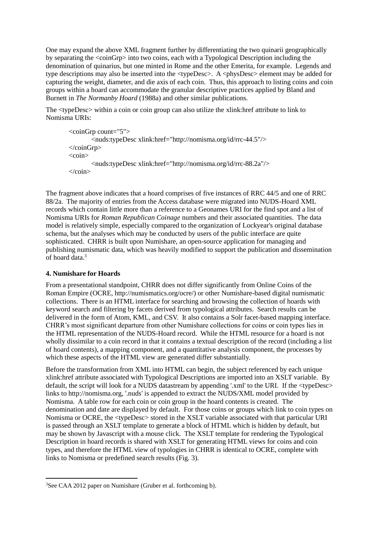One may expand the above XML fragment further by differentiating the two quinarii geographically by separating the <coinGrp> into two coins, each with a Typological Description including the denomination of quinarius, but one minted in Rome and the other Emerita, for example. Legends and type descriptions may also be inserted into the  $\langle \text{typeDesc}\rangle$ . A  $\langle \text{physDesc}\rangle$  element may be added for capturing the weight, diameter, and die axis of each coin. Thus, this approach to listing coins and coin groups within a hoard can accommodate the granular descriptive practices applied by Bland and Burnett in *The Normanby Hoard* (1988a) and other similar publications.

The <typeDesc> within a coin or coin group can also utilize the xlink:href attribute to link to Nomisma URIs:

```
\langle \text{coinGrp count} = "5" \rangle<nuds:typeDesc xlink:href="http://nomisma.org/id/rrc-44.5"/>
\langle \text{coinGrp} \rangle<coin><nuds:typeDesc xlink:href="http://nomisma.org/id/rrc-88.2a"/>
\langlecoin\rangle
```
The fragment above indicates that a hoard comprises of five instances of RRC 44/5 and one of RRC 88/2a. The majority of entries from the Access database were migrated into NUDS-Hoard XML records which contain little more than a reference to a Geonames URI for the find spot and a list of Nomisma URIs for *Roman Republican Coinage* numbers and their associated quantities. The data model is relatively simple, especially compared to the organization of Lockyear's original database schema, but the analyses which may be conducted by users of the public interface are quite sophisticated. CHRR is built upon Numishare, an open-source application for managing and publishing numismatic data, which was heavily modified to support the publication and dissemination of hoard data.<sup>3</sup>

## **4. Numishare for Hoards**

1

From a presentational standpoint, CHRR does not differ significantly from Online Coins of the Roman Empire (OCRE, http://numismatics.org/ocre/) or other Numishare-based digital numismatic collections. There is an HTML interface for searching and browsing the collection of hoards with keyword search and filtering by facets derived from typological attributes. Search results can be delivered in the form of Atom, KML, and CSV. It also contains a Solr facet-based mapping interface. CHRR's most significant departure from other Numishare collections for coins or coin types lies in the HTML representation of the NUDS-Hoard record. While the HTML resource for a hoard is not wholly dissimilar to a coin record in that it contains a textual description of the record (including a list of hoard contents), a mapping component, and a quantitative analysis component, the processes by which these aspects of the HTML view are generated differ substantially.

Before the transformation from XML into HTML can begin, the subject referenced by each unique xlink:href attribute associated with Typological Descriptions are imported into an XSLT variable. By default, the script will look for a NUDS datastream by appending '.xml' to the URI. If the <typeDesc> links to http://nomisma.org, '.nuds' is appended to extract the NUDS/XML model provided by Nomisma. A table row for each coin or coin group in the hoard contents is created. The denomination and date are displayed by default. For those coins or groups which link to coin types on Nomisma or OCRE, the <typeDesc> stored in the XSLT variable associated with that particular URI is passed through an XSLT template to generate a block of HTML which is hidden by default, but may be shown by Javascript with a mouse click. The XSLT template for rendering the Typological Description in hoard records is shared with XSLT for generating HTML views for coins and coin types, and therefore the HTML view of typologies in CHRR is identical to OCRE, complete with links to Nomisma or predefined search results (Fig. 3).

<sup>3</sup>See CAA 2012 paper on Numishare (Gruber et al. forthcoming b).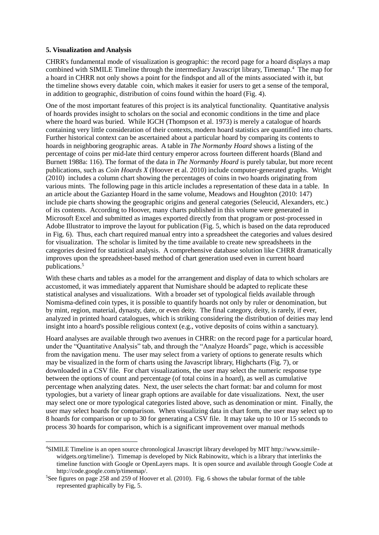#### **5. Visualization and Analysis**

1

CHRR's fundamental mode of visualization is geographic: the record page for a hoard displays a map combined with SIMILE Timeline through the intermediary Javascript library, Timemap.<sup>4</sup> The map for a hoard in CHRR not only shows a point for the findspot and all of the mints associated with it, but the timeline shows every datable coin, which makes it easier for users to get a sense of the temporal, in addition to geographic, distribution of coins found within the hoard (Fig. 4).

One of the most important features of this project is its analytical functionality. Quantitative analysis of hoards provides insight to scholars on the social and economic conditions in the time and place where the hoard was buried. While IGCH (Thompson et al. 1973) is merely a catalogue of hoards containing very little consideration of their contexts, modern hoard statistics are quantified into charts. Further historical context can be ascertained about a particular hoard by comparing its contents to hoards in neighboring geographic areas. A table in *The Normanby Hoard* shows a listing of the percentage of coins per mid-late third century emperor across fourteen different hoards (Bland and Burnett 1988a: 116). The format of the data in *The Normanby Hoard* is purely tabular, but more recent publications, such as *Coin Hoards X* (Hoover et al. 2010) include computer-generated graphs. Wright (2010) includes a column chart showing the percentages of coins in two hoards originating from various mints. The following page in this article includes a representation of these data in a table. In an article about the Gaziantep Hoard in the same volume, Meadows and Houghton (2010: 147) include pie charts showing the geographic origins and general categories (Seleucid, Alexanders, etc.) of its contents. According to Hoover, many charts published in this volume were generated in Microsoft Excel and submitted as images exported directly from that program or post-processed in Adobe Illustrator to improve the layout for publication (Fig. 5, which is based on the data reproduced in Fig. 6). Thus, each chart required manual entry into a spreadsheet the categories and values desired for visualization. The scholar is limited by the time available to create new spreadsheets in the categories desired for statistical analysis. A comprehensive database solution like CHRR dramatically improves upon the spreadsheet-based method of chart generation used even in current hoard publications.<sup>5</sup>

With these charts and tables as a model for the arrangement and display of data to which scholars are accustomed, it was immediately apparent that Numishare should be adapted to replicate these statistical analyses and visualizations. With a broader set of typological fields available through Nomisma-defined coin types, it is possible to quantify hoards not only by ruler or denomination, but by mint, region, material, dynasty, date, or even deity. The final category, deity, is rarely, if ever, analyzed in printed hoard catalogues, which is striking considering the distribution of deities may lend insight into a hoard's possible religious context (e.g., votive deposits of coins within a sanctuary).

Hoard analyses are available through two avenues in CHRR: on the record page for a particular hoard, under the "Quantitative Analysis" tab, and through the "Analyze Hoards" page, which is accessible from the navigation menu. The user may select from a variety of options to generate results which may be visualized in the form of charts using the Javascript library, Highcharts (Fig. 7), or downloaded in a CSV file. For chart visualizations, the user may select the numeric response type between the options of count and percentage (of total coins in a hoard), as well as cumulative percentage when analyzing dates. Next, the user selects the chart format: bar and column for most typologies, but a variety of linear graph options are available for date visualizations. Next, the user may select one or more typological categories listed above, such as denomination or mint. Finally, the user may select hoards for comparison. When visualizing data in chart form, the user may select up to 8 hoards for comparison or up to 30 for generating a CSV file. It may take up to 10 or 15 seconds to process 30 hoards for comparison, which is a significant improvement over manual methods

<sup>4</sup>SIMILE Timeline is an open source chronological Javascript library developed by MIT http://www.similewidgets.org/timeline/). Timemap is developed by Nick Rabinowitz, which is a library that interlinks the timeline function with Google or OpenLayers maps. It is open source and available through Google Code at http://code.google.com/p/timemap/.

<sup>5</sup>See figures on page 258 and 259 of Hoover et al. (2010). Fig. 6 shows the tabular format of the table represented graphically by Fig, 5.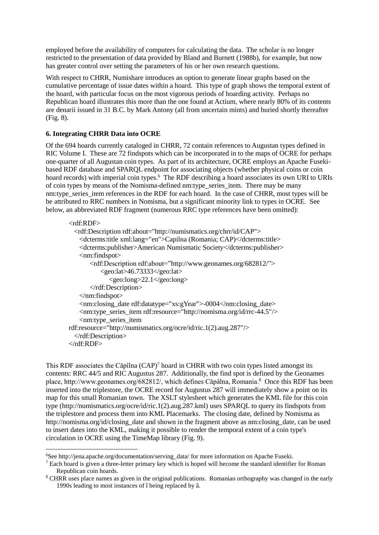employed before the availability of computers for calculating the data. The scholar is no longer restricted to the presentation of data provided by Bland and Burnett (1988b), for example, but now has greater control over setting the parameters of his or her own research questions.

With respect to CHRR, Numishare introduces an option to generate linear graphs based on the cumulative percentage of issue dates within a hoard. This type of graph shows the temporal extent of the hoard, with particular focus on the most vigorous periods of hoarding activity. Perhaps no Republican hoard illustrates this more than the one found at Actium, where nearly 80% of its contents are denarii issued in 31 B.C. by Mark Antony (all from uncertain mints) and buried shortly thereafter (Fig. 8).

# **6. Integrating CHRR Data into OCRE**

Of the 694 hoards currently cataloged in CHRR, 72 contain references to Augustan types defined in RIC Volume I. These are 72 findspots which can be incorporated in to the maps of OCRE for perhaps one-quarter of all Augustan coin types. As part of its architecture, OCRE employs an Apache Fusekibased RDF database and SPARQL endpoint for associating objects (whether physical coins or coin hoard records) with imperial coin types.<sup>6</sup> The RDF describing a hoard associates its own URI to URIs of coin types by means of the Nomisma-defined nm:type\_series\_item. There may be many nm:type\_series\_item references in the RDF for each hoard. In the case of CHRR, most types will be be attributed to RRC numbers in Nomisma, but a significant minority link to types in OCRE. See below, an abbreviated RDF fragment (numerous RRC type references have been omitted):

#### <rdf:RDF>

<u>.</u>

```
 <rdf:Description rdf:about="http://numismatics.org/chrr/id/CAP">
    <dcterms:title xml:lang="en">Capilna (Romania; CAP)</dcterms:title>
    <dcterms:publisher>American Numismatic Society</dcterms:publisher>
    <nm:findspot>
        <rdf:Description rdf:about="http://www.geonames.org/682812/">
            <geo:lat>46.73333</geo:lat>
              \langlegeo:long>22.1\langlegeo:long>
        </rdf:Description>
    </nm:findspot>
     <nm:closing_date rdf:datatype="xs:gYear">-0004</nm:closing_date>
    <nm:type_series_item rdf:resource="http://nomisma.org/id/rrc-44.5"/>
    <nm:type_series_item 
rdf:resource="http://numismatics.org/ocre/id/ric.1(2).aug.287"/>
   </rdf:Description>
\langle \text{rdf:RDF} \rangle
```
This RDF associates the Căpîlna  $(CAP)^7$  hoard in CHRR with two coin types listed amongst its contents: RRC 44/5 and RIC Augustus 287. Additionally, the find spot is defined by the Geonames place, http://www.geonames.org/682812/, which defines Căpâlna, Romania.<sup>8</sup> Once this RDF has been inserted into the triplestore, the OCRE record for Augustus 287 will immediately show a point on its map for this small Romanian town. The XSLT stylesheet which generates the KML file for this coin type (http://numismatics.org/ocre/id/ric.1(2).aug.287.kml) uses SPARQL to query its findspots from the triplestore and process them into KML Placemarks. The closing date, defined by Nomisma as http://nomisma.org/id/closing\_date and shown in the fragment above as nm:closing\_date, can be used to insert dates into the KML, making it possible to render the temporal extent of a coin type's circulation in OCRE using the TimeMap library (Fig. 9).

<sup>6</sup>See [http://jena.apache.org/documentation/serving\\_data/](http://jena.apache.org/documentation/serving_data/) for more information on Apache Fuseki.

<sup>&</sup>lt;sup>7</sup> Each hoard is given a three-letter primary key which is hoped will become the standard identifier for Roman Republican coin hoards.

<sup>&</sup>lt;sup>8</sup> CHRR uses place names as given in the original publications. Romanian orthography was changed in the early 1990s leading to most instances of î being replaced by â.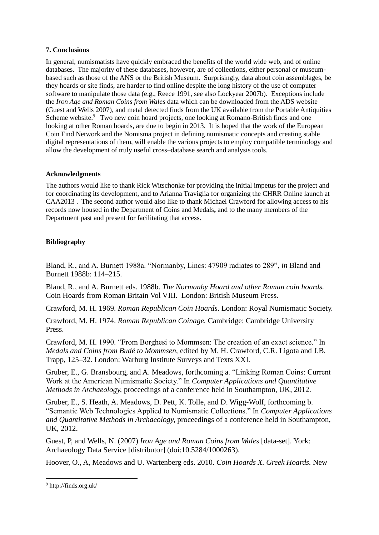## **7. Conclusions**

In general, numismatists have quickly embraced the benefits of the world wide web, and of online databases. The majority of these databases, however, are of collections, either personal or museumbased such as those of the ANS or the British Museum. Surprisingly, data about coin assemblages, be they hoards or site finds, are harder to find online despite the long history of the use of computer software to manipulate those data (e.g., Reece 1991, see also Lockyear 2007b). Exceptions include the *Iron Age and Roman Coins from Wales* data which can be downloaded from the ADS website (Guest and Wells 2007), and metal detected finds from the UK available from the Portable Antiquities Scheme website.<sup>9</sup> Two new coin hoard projects, one looking at Romano-British finds and one looking at other Roman hoards, are due to begin in 2013. It is hoped that the work of the European Coin Find Network and the Nomisma project in defining numismatic concepts and creating stable digital representations of them, will enable the various projects to employ compatible terminology and allow the development of truly useful cross–database search and analysis tools.

## **Acknowledgments**

The authors would like to thank Rick Witschonke for providing the initial impetus for the project and for coordinating its development, and to Arianna Traviglia for organizing the CHRR Online launch at CAA2013 . The second author would also like to thank Michael Crawford for allowing access to his records now housed in the Department of Coins and Medals**,** and to the many members of the Department past and present for facilitating that access.

## **Bibliography**

Bland, R., and A. Burnett 1988a. "Normanby, Lincs: 47909 radiates to 289", *in* Bland and Burnett 1988b: 114–215.

Bland, R., and A. Burnett eds. 1988b. *The Normanby Hoard and other Roman coin hoards.*  Coin Hoards from Roman Britain Vol VIII. London: British Museum Press.

Crawford, M. H. 1969. *Roman Republican Coin Hoards*. London: Royal Numismatic Society.

Crawford, M. H. 1974. *Roman Republican Coinage.* Cambridge: Cambridge University Press.

Crawford, M. H. 1990. "From Borghesi to Mommsen: The creation of an exact science." In *Medals and Coins from Budé to Mommsen,* edited by M. H. Crawford, C.R. Ligota and J.B. Trapp, 125–32. London: Warburg Institute Surveys and Texts XXI.

Gruber, E., G. Bransbourg, and A. Meadows, forthcoming a. "Linking Roman Coins: Current Work at the American Numismatic Society." In *Computer Applications and Quantitative Methods in Archaeology,* proceedings of a conference held in Southampton, UK, 2012.

Gruber, E., S. Heath, A. Meadows, D. Pett, K. Tolle, and D. Wigg-Wolf, forthcoming b. "Semantic Web Technologies Applied to Numismatic Collections." In *Computer Applications and Quantitative Methods in Archaeology,* proceedings of a conference held in Southampton, UK, 2012.

Guest, P, and Wells, N. (2007) *Iron Age and Roman Coins from Wales* [data-set]. York: Archaeology Data Service [distributor] (doi:10.5284/1000263).

Hoover, O., A, Meadows and U. Wartenberg eds. 2010. *Coin Hoards X. Greek Hoards.* New

1

<sup>9</sup> http://finds.org.uk/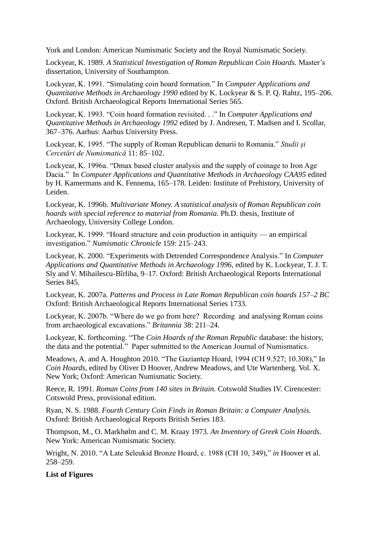York and London: American Numismatic Society and the Royal Numismatic Society.

Lockyear, K. 1989. *A Statistical Investigation of Roman Republican Coin Hoards.* Master's dissertation, University of Southampton.

Lockyear, K. 1991. "Simulating coin hoard formation." In *Computer Applications and Quantitative Methods in Archaeology 1990* edited by K. Lockyear & S. P. Q. Rahtz, 195–206. Oxford. British Archaeological Reports International Series 565.

Lockyear, K. 1993. "Coin hoard formation revisited. . ." In *Computer Applications and Quantitative Methods in Archaeology 1992* edited by J. Andresen, T. Madsen and I. Scollar, 367–376. Aarhus: Aarhus University Press.

Lockyear, K. 1995. "The supply of Roman Republican denarii to Romania." *Studii și Cercetări de Numismatică* 11: 85–102.

Lockyear, K. 1996a. "Dmax based cluster analysis and the supply of coinage to Iron Age Dacia." In *Computer Applications and Quantitative Methods in Archaeology CAA95* edited by H. Kamermans and K. Fennema, 165–178. Leiden: Institute of Prehistory, University of Leiden.

Lockyear, K. 1996b. *Multivariate Money. A statistical analysis of Roman Republican coin hoards with special reference to material from Romania.* Ph.D. thesis, Institute of Archaeology, University College London.

Lockyear, K. 1999. "Hoard structure and coin production in antiquity — an empirical investigation." *Numismatic Chronicle* 159: 215–243.

Lockyear, K. 2000. "Experiments with Detrended Correspondence Analysis." In *Computer Applications and Quantitative Methods in Archaeology 1996,* edited by K. Lockyear, T. J. T. Sly and V. Mihailescu-Bîrliba, 9–17. Oxford: British Archaeological Reports International Series 845.

Lockyear, K. 2007a. *Patterns and Process in Late Roman Republican coin hoards 157–2 BC* Oxford: British Archaeological Reports International Series 1733.

Lockyear, K. 2007b. "Where do we go from here? Recording and analysing Roman coins from archaeological excavations." *Britannia* 38: 211–24.

Lockyear, K. forthcoming. "The *Coin Hoards of the Roman Republic* database: the history, the data and the potential." Paper submitted to the American Journal of Numismatics.

Meadows, A. and A. Houghton 2010. "The Gaziantep Hoard, 1994 (CH 9.527; 10.308)," In *Coin Hoards*, edited by Oliver D Hoover, Andrew Meadows, and Ute Wartenberg. Vol. X. New York; Oxford: American Numismatic Society.

Reece, R. 1991. *Roman Coins from 140 sites in Britain.* Cotswold Studies IV. Cirencester: Cotswold Press, provisional edition.

Ryan, N. S. 1988. *Fourth Century Coin Finds in Roman Britain: a Computer Analysis.* Oxford: British Archaeological Reports British Series 183.

Thompson, M., O. Markhølm and C. M. Kraay 1973. *An Inventory of Greek Coin Hoards.* New York: American Numismatic Society.

Wright, N. 2010. "A Late Seleukid Bronze Hoard, c. 1988 (CH 10, 349)," *in* Hoover et al. 258–259.

### **List of Figures**